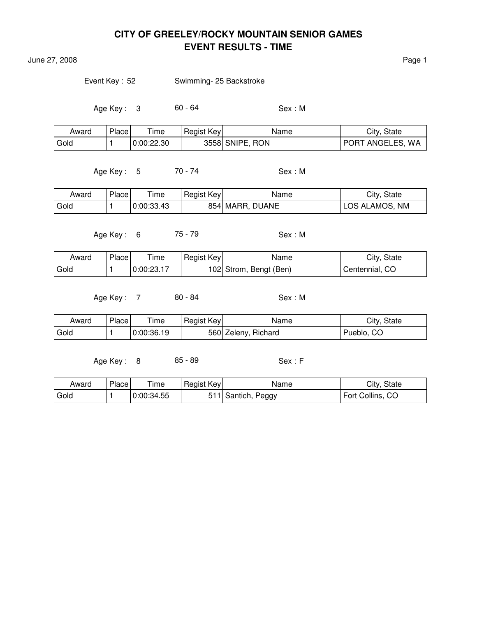June 27, 2008 **Page 1** 

Event Key : 52 Swimming- 25 Backstroke

Age Key : 3 60 - 64 Sex : M

| Award | Place | Time       | Regist Key | Name            | City, State      |
|-------|-------|------------|------------|-----------------|------------------|
| Gold  |       | 0:00:22.30 |            | 3558 SNIPE, RON | PORT ANGELES, WA |

Age Key : 5 70 - 74 Sex : M

| Award | Place | ime        | Regist Key | Name            | City, State    |
|-------|-------|------------|------------|-----------------|----------------|
| Gold  |       | 0:00:33.43 |            | 854 MARR, DUANE | LOS ALAMOS, NM |

Age Key: 6 75 - 79 Sex: M

| Award | Place | Time       | Regist Key | Name                   | City, State    |
|-------|-------|------------|------------|------------------------|----------------|
| Gold  |       | 0:00:23.17 |            | 102 Strom, Bengt (Ben) | Centennial, CO |

Age Key : 7 80 - 84 Sex : M

| Award | Place | Time       | Regist Key | Name                | City, State     |
|-------|-------|------------|------------|---------------------|-----------------|
| Gold  |       | 0:00:36.19 |            | 560 Zeleny, Richard | . CO<br>Pueblo, |

Age Key : 8 85 - 89 Sex : F

| Award             | Place | $T$ ime    | Regist Key | Name               | City, State      |
|-------------------|-------|------------|------------|--------------------|------------------|
| <sup>I</sup> Gold |       | 0:00:34.55 |            | 511 Santich, Peggy | Fort Collins, CO |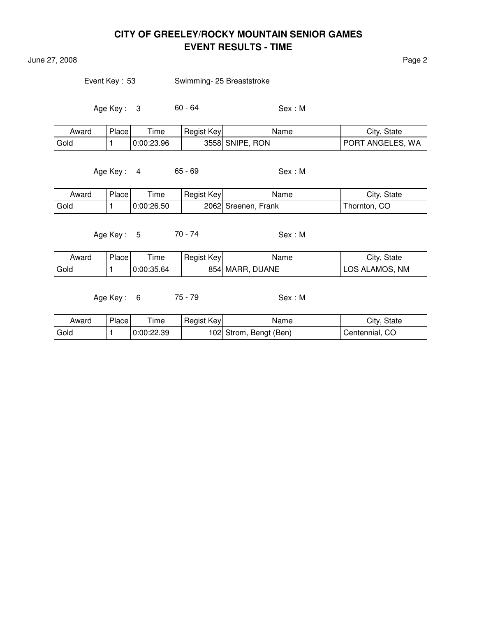June 27, 2008 Page 2

Event Key : 53 Swimming- 25 Breaststroke

Age Key : 3 60 - 64 Sex : M

| Award | Place | ime        | Regist Key | Name            | City, State      |
|-------|-------|------------|------------|-----------------|------------------|
| Gold  |       | 0:00:23.96 |            | 3558 SNIPE, RON | PORT ANGELES, WA |

Age Key : 4 65 - 69 Sex : M

| Award | Place | ime        | Regist Key | Name                | City, State  |
|-------|-------|------------|------------|---------------------|--------------|
| Gold  |       | 0:00:26.50 |            | 2062 Sreenen, Frank | Thornton, CO |

Age Key : 5 70 - 74 Sex : M

| Award | Place | --<br>ime  | <b>Regist Key</b> | Name            | City, State    |
|-------|-------|------------|-------------------|-----------------|----------------|
| Gold  |       | 0:00:35.64 |                   | 854 MARR, DUANE | LOS ALAMOS, NM |

Age Key : 6 75 - 79 Sex : M

| Award | Place <sub>1</sub> | ime        | Regist Key | Name                   | City, State    |
|-------|--------------------|------------|------------|------------------------|----------------|
| Gold  |                    | 0:00:22.39 |            | 102 Strom, Bengt (Ben) | Centennial, CO |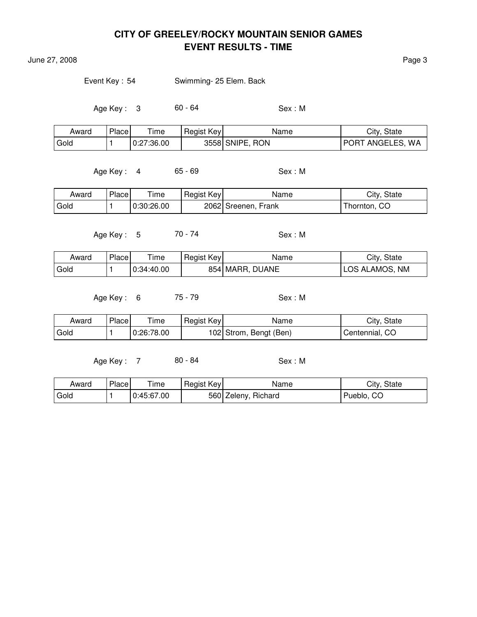June 27, 2008 Page 3

Event Key : 54 Swimming- 25 Elem. Back

Age Key : 3 60 - 64 Sex : M

| Award | <b>Place</b> | Time       | Regist Key | Name            | City, State      |
|-------|--------------|------------|------------|-----------------|------------------|
| Gold  |              | 0:27:36.00 |            | 3558 SNIPE, RON | PORT ANGELES, WA |

Age Key : 4 65 - 69 Sex : M

| Award | Place | ime        | Regist Key | Name                | City, State  |
|-------|-------|------------|------------|---------------------|--------------|
| Gold  |       | 0:30:26.00 |            | 2062 Sreenen, Frank | Thornton, CO |

Age Key : 5 70 - 74 Sex : M

| Award | Place <sub>1</sub> | l ime      | Regist Key | Name            | City, State    |
|-------|--------------------|------------|------------|-----------------|----------------|
| Gold  |                    | 0:34:40.00 |            | 854 MARR, DUANE | LOS ALAMOS, NM |

Age Key: 6 75 - 79 Sex: M

| Award | Place | l ime      | Regist Key | Name                   | City, State    |
|-------|-------|------------|------------|------------------------|----------------|
| Gold  |       | 0:26:78.00 |            | 102 Strom, Bengt (Ben) | Centennial, CO |

Age Key: 7 80 - 84 Sex: M

Award Place Time Regist Key Name Name City, State Gold  $\vert$  1  $\vert$  0:45:67.00  $\vert$  560 Zeleny, Richard Pueblo, CO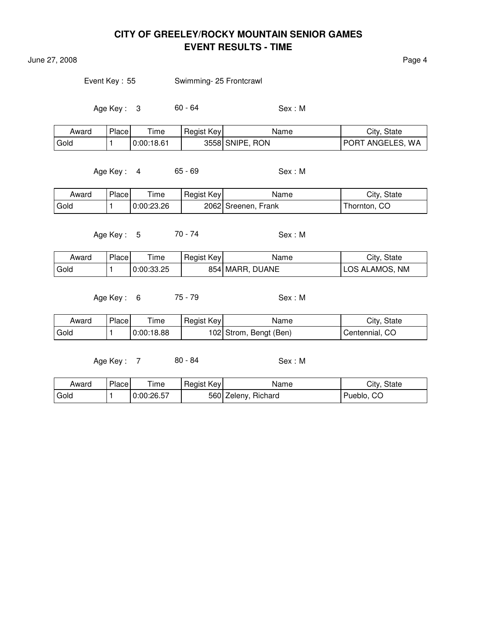June 27, 2008 **Page 4** 

Event Key: 55 Swimming- 25 Frontcrawl

Age Key : 3 60 - 64 Sex : M

| Award | Place | Time       | Regist Key | Name            | City, State      |
|-------|-------|------------|------------|-----------------|------------------|
| Gold  |       | 0:00:18.61 |            | 3558 SNIPE, RON | PORT ANGELES, WA |

Age Key : 4 65 - 69 Sex : M

| Award | Place | ime        | Regist Key | Name                | City, State  |
|-------|-------|------------|------------|---------------------|--------------|
| Gold  |       | 0:00:23.26 |            | 2062 Sreenen, Frank | Thornton, CO |

Age Key : 5 70 - 74 Sex : M

| Award | Place | lme        | Regist Key | Name            | City, State    |
|-------|-------|------------|------------|-----------------|----------------|
| Gold  |       | 0:00:33.25 |            | 854 MARR, DUANE | LOS ALAMOS, NM |

Age Key : 6 75 - 79 Sex : M

| Award | Place | ' ime      | Regist Key | Name                   | City, State    |
|-------|-------|------------|------------|------------------------|----------------|
| Gold  |       | 0:00:18.88 |            | 102 Strom, Bengt (Ben) | Centennial, CO |

Age Key : 7 80 - 84 Sex : M

| Award | Place | Time       | Regist Key | Name                | City, State |
|-------|-------|------------|------------|---------------------|-------------|
| Gold  |       | 0:00:26.57 |            | 560 Zeleny, Richard | Pueblo, CO  |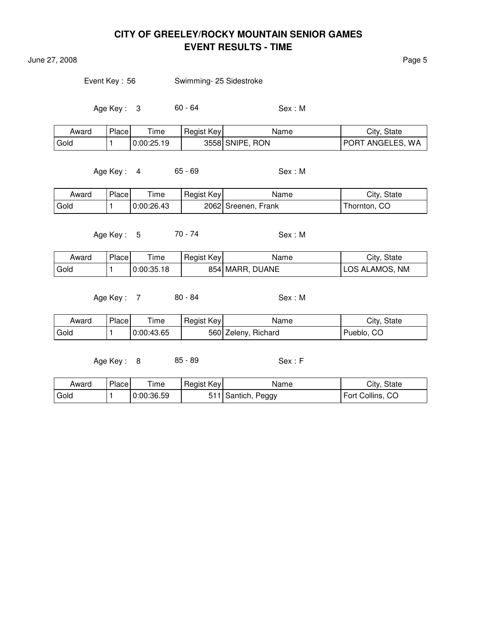June 27, 2008 **Page 5** 

Event Key : 56 Swimming- 25 Sidestroke

Age Key : 3 60 - 64 Sex : M

| Award | Place | $\tau$ ime | Regist Key | Name            | City, State      |
|-------|-------|------------|------------|-----------------|------------------|
| Gold  |       | 0:00:25.19 |            | 3558 SNIPE, RON | PORT ANGELES, WA |

Age Key: 4 65 - 69 Sex: M

| Award | Place | ime        | Regist Key | Name                | City, State  |
|-------|-------|------------|------------|---------------------|--------------|
| Gold  |       | 0:00:26.43 |            | 2062 Sreenen, Frank | Thornton, CO |

Age Key : 5 70 - 74 Sex : M

| Award | Place <sub>1</sub> | l ime      | Regist Key | Name            | City, State    |
|-------|--------------------|------------|------------|-----------------|----------------|
| Gold  |                    | 0:00:35.18 |            | 854 MARR, DUANE | LOS ALAMOS, NM |

Age Key: 7 80 - 84 Sex: M

| Award | Place | ∖ ime      | Regist Key | Name                | City, State |
|-------|-------|------------|------------|---------------------|-------------|
| Gold  |       | 0:00:43.65 |            | 560 Zeleny, Richard | Pueblo, CO  |

Age Key: 8 85 - 89 Sex: F

Award Place Time Regist Key Name Name City, State Gold  $\vert$  1  $\vert$  0:00:36.59  $\vert$  511 Santich, Peggy Fort Collins, CO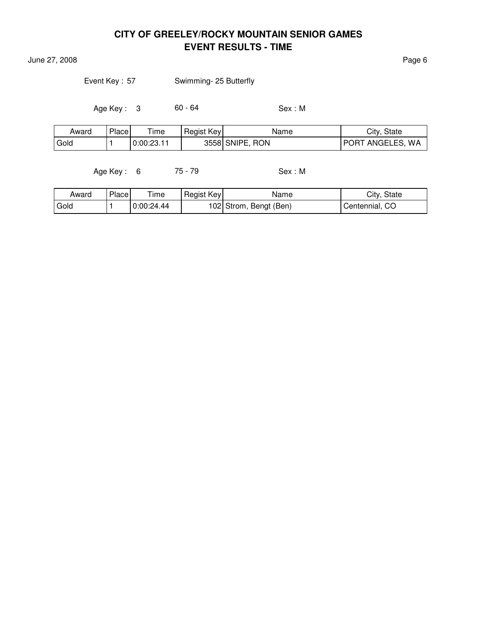**June 27, 2008** Page 6

| Swimming- 25 Butterfly |
|------------------------|
|                        |

Age Key : 3 60 - 64 Sex : M

| Award | Place | ime        | Regist Key | Name            | City, State                     |
|-------|-------|------------|------------|-----------------|---------------------------------|
| Gold  |       | 0:00:23.11 |            | 3558 SNIPE, RON | ANGELES, WA<br>POR <sub>1</sub> |

Age Key : 6 75 - 79 Sex : M

| Award  | Place | ime        | Regist Key | Name                   | City, State    |
|--------|-------|------------|------------|------------------------|----------------|
| ' Gold |       | 0:00:24.44 |            | 102 Strom, Bengt (Ben) | Centennial, CO |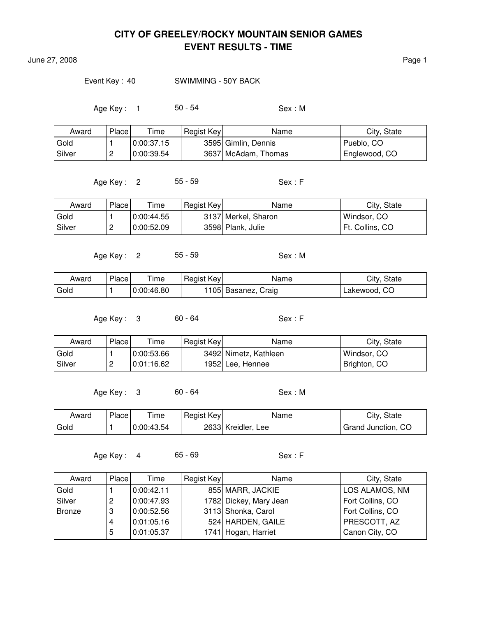June 27, 2008 **Page 1** 

#### Event Key : 40 SWIMMING - 50Y BACK

Age Key: 1 50 - 54 Sex: M

| Award  | Place | Time       | Regist Key | Name                | City, State   |
|--------|-------|------------|------------|---------------------|---------------|
| Gold   |       | 0:00:37.15 |            | 3595 Gimlin, Dennis | Pueblo, CO    |
| Silver | ∼     | 0:00:39.54 |            | 3637 McAdam, Thomas | Englewood, CO |

Age Key : 2 55 - 59 Sex : F

Award Place Time Regist Key Name Name City, State Gold  $\vert$  1  $\vert$  0:00:44.55  $\vert$  3137 Merkel, Sharon  $\vert$  Windsor, CO Silver | 2 | 0:00:52.09 | 3598 Plank, Julie | Ft. Collins, CO

Age Key : 2 55 - 59 Sex : M

| Award | Place | Time       | Regist Key | Name                | City, State  |
|-------|-------|------------|------------|---------------------|--------------|
| Gold  |       | 0:00:46.80 |            | 1105 Basanez, Craig | Lakewood, CO |

Age Key : 3 60 - 64 Sex : F

| Award  | Place    | $T$ ime    | Regist Key | Name                  | City, State  |
|--------|----------|------------|------------|-----------------------|--------------|
| Gold   |          | 0:00:53.66 |            | 3492 Nimetz, Kathleen | Windsor, CO  |
| Silver | <u>.</u> | 0:01:16.62 |            | 1952 Lee, Hennee      | Brighton, CO |

Age Key: 3 60 - 64 Sex: M

| Award | Place | --<br>ime  | Regist Key | Name                  | City, State        |
|-------|-------|------------|------------|-----------------------|--------------------|
| Gold  |       | 0:00:43.54 |            | 2633 Kreidler,<br>Lee | Grand Junction, CO |

Age Key : 4 65 - 69 Sex : F

| Award  | Place | Time       | Regist Key | Name                   | City, State      |
|--------|-------|------------|------------|------------------------|------------------|
| Gold   |       | 0:00:42.11 |            | 855 MARR, JACKIE       | LOS ALAMOS, NM   |
| Silver | 2     | 0:00:47.93 |            | 1782 Dickey, Mary Jean | Fort Collins, CO |
| Bronze | 3     | 0:00:52.56 |            | 3113 Shonka, Carol     | Fort Collins, CO |
|        |       | 0:01:05.16 |            | 524 HARDEN, GAILE      | PRESCOTT, AZ     |
|        | 5     | 0:01:05.37 |            | 1741 Hogan, Harriet    | Canon City, CO   |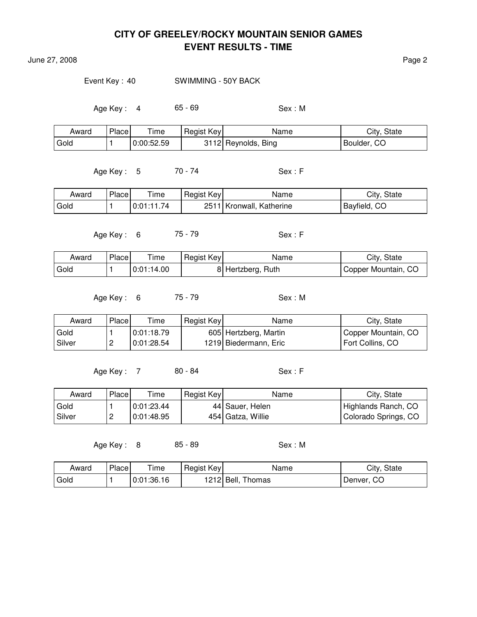**June 27, 2008** Page 2

Event Key : 40 SWIMMING - 50Y BACK

Age Key : 4 65 - 69 Sex : M

| Award | Place | Time       | Regist Key | Name                | City, State |
|-------|-------|------------|------------|---------------------|-------------|
| Gold  |       | 0:00:52.59 |            | 3112 Reynolds, Bing | Boulder, CO |

Age Key : 5 70 - 74 Sex : F

| Award | Place | ime        | Regist Key | Name                     | City, State  |
|-------|-------|------------|------------|--------------------------|--------------|
| Gold  |       | 0:01:11.74 |            | 2511 Kronwall, Katherine | Bayfield, CO |

Age Key : 6 75 - 79 Sex : F

| Award | Place | Time       | Regist Key | Name               | City, State         |
|-------|-------|------------|------------|--------------------|---------------------|
| Gold  |       | 0:01:14.00 |            | 8  Hertzberg, Ruth | Copper Mountain, CO |

Age Key : 6 75 - 79 Sex : M

| Award    | Place    | $T$ ime    | Regist Key | Name                  | City, State         |
|----------|----------|------------|------------|-----------------------|---------------------|
| Gold     |          | 0:01:18.79 |            | 605 Hertzberg, Martin | Copper Mountain, CO |
| l Silver | <u>.</u> | 0:01:28.54 |            | 1219 Biedermann, Eric | Fort Collins. CO    |

Age Key : 7 80 - 84 Sex : F

| Award    | Place | Time       | Regist Key | Name              | City, State          |
|----------|-------|------------|------------|-------------------|----------------------|
| Gold     |       | 0:01:23.44 |            | 44 Sauer, Helen   | Highlands Ranch, CO  |
| l Silver | ←     | 0:01:48.95 |            | 454 Gatza, Willie | Colorado Springs, CO |

Age Key : 8 85 - 89 Sex : M

| Award | Place | Time       | Regist Key | Name                 | City, State |
|-------|-------|------------|------------|----------------------|-------------|
| Gold  |       | 0:01:36.16 |            | Thomas<br>1212 Bell. | Denver, CO  |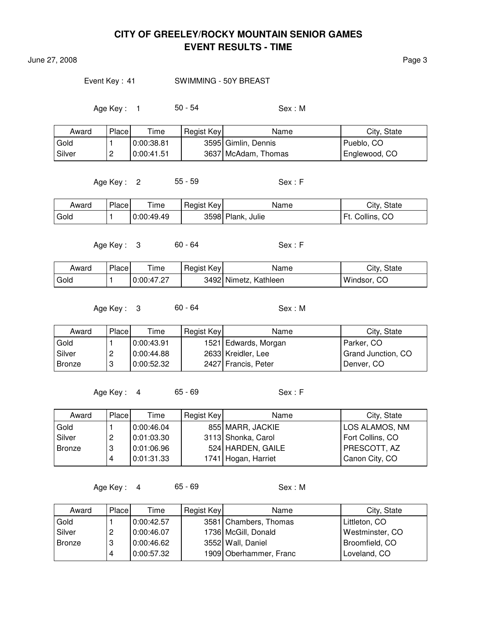June 27, 2008 Page 3

#### Event Key: 41 SWIMMING - 50Y BREAST

Age Key: 1 50 - 54 Sex: M

| Award  | Place    | $T$ ime    | Regist Key | Name                | City, State   |
|--------|----------|------------|------------|---------------------|---------------|
| Gold   |          | 0:00:38.81 |            | 3595 Gimlin, Dennis | Pueblo, CO    |
| Silver | <u>_</u> | 0:00:41.51 |            | 3637 McAdam, Thomas | Englewood, CO |

Age Key : 2 55 - 59 Sex : F

| Award | Place | Time       | Regist Key | Name              | City, State |
|-------|-------|------------|------------|-------------------|-------------|
| Gold  |       | 0:00:49.49 |            | 3598 Plank, Julie | Collins, CO |

Age Key : 3 60 - 64 Sex : F

Award Place Time Regist Key Name Name City, State Gold  $\vert$  1  $\vert$  0:00:47.27  $\vert$  3492 Nimetz, Kathleen  $\vert$  Windsor, CO

Age Key: 3 60 - 64 Sex: M

| Award    | Place | Time       | Regist Key | Name                 | City, State        |
|----------|-------|------------|------------|----------------------|--------------------|
| Gold     |       | 0:00:43.91 |            | 1521 Edwards, Morgan | Parker, CO         |
| l Silver |       | 0:00:44.88 |            | 2633 Kreidler, Lee   | Grand Junction, CO |
| Bronze   |       | 0.00:52.32 |            | 2427 Francis, Peter  | Denver, CO         |

Age Key : 4 65 - 69 Sex : F

| Award  | Place | Time       | Regist Key | Name                | City, State      |
|--------|-------|------------|------------|---------------------|------------------|
| Gold   |       | 0:00:46.04 |            | 855 MARR, JACKIE    | LOS ALAMOS, NM   |
| Silver |       | 0:01:03.30 |            | 3113 Shonka, Carol  | Fort Collins, CO |
| Bronze | റ     | 0:01:06.96 |            | 524 HARDEN, GAILE   | PRESCOTT, AZ     |
|        |       | 0:01:31.33 |            | 1741 Hogan, Harriet | Canon City, CO   |

Age Key : 4 65 - 69 Sex : M

| Award    | Place | Time       | Regist Key | Name                   | City, State     |
|----------|-------|------------|------------|------------------------|-----------------|
| Gold     |       | 0:00:42.57 |            | 3581 Chambers, Thomas  | Littleton, CO   |
| l Silver | 2     | 0:00:46.07 |            | 1736 McGill, Donald    | Westminster, CO |
| Bronze   | 3     | 0:00:46.62 |            | 3552 Wall, Daniel      | Broomfield, CO  |
|          | 4     | 0:00:57.32 |            | 1909 Oberhammer, Franc | Loveland, CO    |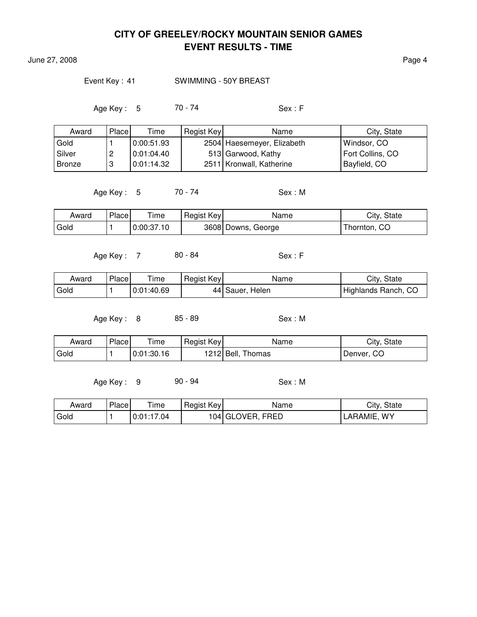June 27, 2008 **Page 4** 

#### Event Key: 41 SWIMMING - 50Y BREAST

Age Key : 5 70 - 74 Sex : F

| Award    | Place | Time       | Regist Key | Name                       | City, State      |
|----------|-------|------------|------------|----------------------------|------------------|
| Gold     |       | 0.00.51.93 |            | 2504 Haesemeyer, Elizabeth | Windsor, CO      |
| l Silver | c     | 0.01:04.40 |            | 513 Garwood, Kathy         | Fort Collins, CO |
| Bronze   | U     | 0.01:14.32 |            | 2511   Kronwall, Katherine | Bayfield, CO     |

Age Key : 5 70 - 74 Sex : M

| Award | Place | Time       | Regist Key | Name               | City, State  |
|-------|-------|------------|------------|--------------------|--------------|
| Gold  |       | 0:00:37.10 |            | 3608 Downs, George | Thornton, CO |

Age Key : 7 80 - 84 Sex : F

| Award | Place | ime        | Regist Key | Name            | City, State         |
|-------|-------|------------|------------|-----------------|---------------------|
| Gold  |       | 0:01:40.69 |            | 44 Sauer, Helen | Highlands Ranch, CO |

Age Key : 8 85 - 89 Sex : M

| Award | Place | $T$ ime    | Regist Key | Name              | City, State |
|-------|-------|------------|------------|-------------------|-------------|
| Gold  |       | 0:01:30.16 |            | 1212 Bell, Thomas | Denver, CO  |

Age Key: 9 90 - 94 Sex: M

| Award | Place | Time       | Regist Key | Name              | City, State |
|-------|-------|------------|------------|-------------------|-------------|
| Gold  |       | 0:01:17.04 |            | 104  GLOVER, FRED | LARAMIE, WY |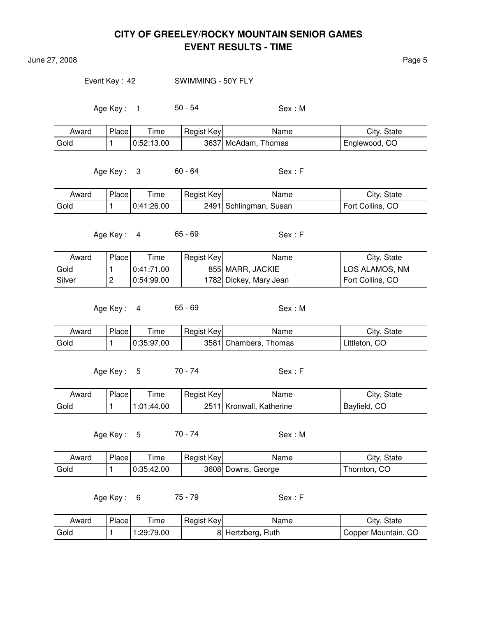June 27, 2008 **Page 5** 

Event Key: 42 SWIMMING - 50Y FLY

Age Key : 1 50 - 54 Sex : M

| Award | Place | --<br>ime  | Regist Key | Name                   | City, State   |
|-------|-------|------------|------------|------------------------|---------------|
| Gold  |       | 0:52:13.00 |            | 3637 McAdam,<br>Thomas | Englewood, CO |

Age Key : 3 60 - 64 Sex : F

| Award | Place | Time       | Regist Key | Name                   | City, State      |
|-------|-------|------------|------------|------------------------|------------------|
| Gold  |       | 0:41:26.00 |            | 2491 Schlingman, Susan | Fort Collins, CO |

Age Key : 4 65 - 69 Sex : F

| Award  | Place | Time       | Regist Key | Name                   | City, State      |
|--------|-------|------------|------------|------------------------|------------------|
| Gold   |       | 0:41:71.00 |            | 855 MARR, JACKIE       | LOS ALAMOS, NM   |
| Silver |       | 0:54:99.00 |            | 1782 Dickey, Mary Jean | Fort Collins, CO |

Age Key : 4 65 - 69 Sex : M

| Award  | Place, | ime        | Regist Key | Name                  | City, State   |
|--------|--------|------------|------------|-----------------------|---------------|
| l Gold |        | 0:35:97.00 |            | 3581 Chambers, Thomas | Littleton, CO |

Age Key : 5 70 - 74 Sex : F

| Award | Place | $T$ ime    | Regist Key | Name                     | City, State  |
|-------|-------|------------|------------|--------------------------|--------------|
| Gold  |       | 1:01:44.00 |            | 2511 Kronwall, Katherine | Bayfield, CO |

Age Key : 5 70 - 74 Sex : M

| Award | Place | Time       | Regist Key | Name               | City, State  |
|-------|-------|------------|------------|--------------------|--------------|
| Gold  |       | 0:35:42.00 |            | 3608 Downs, George | Thornton, CO |

Age Key: 6 75 - 79 Sex: F

| Award | Place | Time       | Regist Key | Name              | City, State         |
|-------|-------|------------|------------|-------------------|---------------------|
| Gold  |       | 1:29:79.00 |            | 8 Hertzberg, Ruth | Copper Mountain, CO |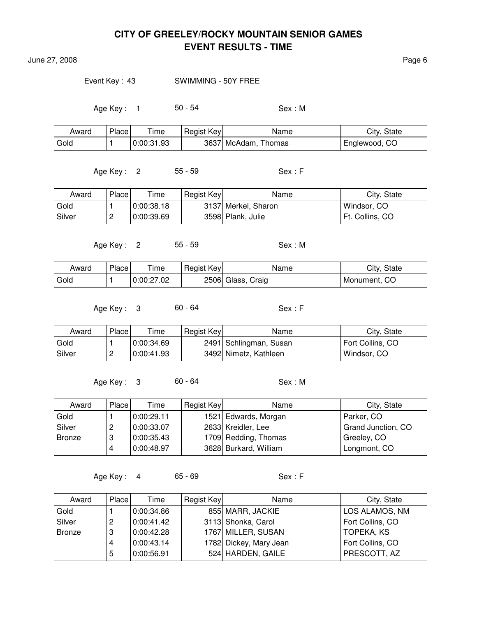June 27, 2008 **Page 6** 

#### Event Key : 43 SWIMMING - 50Y FREE

Age Key: 1 50 - 54 Sex: M

| Award | Place | $T$ ime    | Regist Key | Name                   | City, State   |
|-------|-------|------------|------------|------------------------|---------------|
| Gold  |       | 0:00:31.93 |            | 3637 McAdam,<br>Thomas | Englewood, CO |

Age Key : 2 55 - 59 Sex : F

Award Place Time Regist Key Name Name City, State Gold  $\vert$  1  $\vert$  0:00:38.18  $\vert$  3137 Merkel, Sharon  $\vert$  Windsor, CO Silver | 2 | 0:00:39.69 | 3598 Plank, Julie | Ft. Collins, CO

Age Key: 2 55 - 59 Sex: M

| Award | Place | l ime      | Regist Key | Name              | City, State  |
|-------|-------|------------|------------|-------------------|--------------|
| Gold  |       | 0:00:27.02 |            | 2506 Glass, Craig | Monument, CO |

Age Key : 3 60 - 64 Sex : F

| Award    | Place    | Time       | Regist Key | Name                   | City, State      |
|----------|----------|------------|------------|------------------------|------------------|
| Gold     |          | 0:00:34.69 |            | 2491 Schlingman, Susan | Fort Collins, CO |
| l Silver | <u>_</u> | 0:00:41.93 |            | 3492 Nimetz, Kathleen  | Windsor, CO      |

Age Key: 3 60 - 64 Sex: M

| Award  | Place | Time       | Regist Key | Name                  | City, State        |
|--------|-------|------------|------------|-----------------------|--------------------|
| Gold   |       | 0:00:29.11 |            | 1521 Edwards, Morgan  | Parker, CO         |
| Silver | 2     | 0:00:33.07 |            | 2633 Kreidler, Lee    | Grand Junction, CO |
| Bronze | 3     | 0:00:35.43 |            | 1709 Redding, Thomas  | Greeley, CO        |
|        |       | 0:00:48.97 |            | 3628 Burkard, William | Longmont, CO       |

Age Key : 4 65 - 69 Sex : F

| Award         | Place | Time       | Regist Key | Name                   | City, State       |
|---------------|-------|------------|------------|------------------------|-------------------|
| Gold          |       | 0:00:34.86 |            | 855 MARR, JACKIE       | LOS ALAMOS, NM    |
| Silver        |       | 0:00:41.42 |            | 3113 Shonka, Carol     | Fort Collins, CO  |
| <b>Bronze</b> |       | 0:00:42.28 |            | 1767 MILLER, SUSAN     | <b>TOPEKA, KS</b> |
|               |       | 0:00:43.14 |            | 1782 Dickey, Mary Jean | Fort Collins, CO  |
|               | 5     | 0:00:56.91 |            | 524 HARDEN, GAILE      | PRESCOTT, AZ      |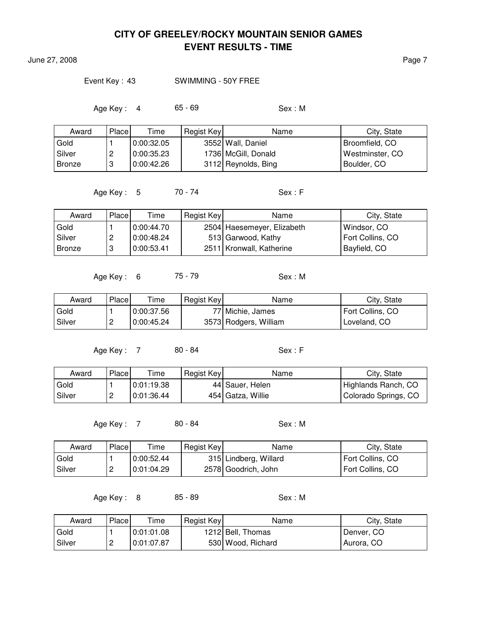June 27, 2008 **Page 7** 

#### Event Key : 43 SWIMMING - 50Y FREE

Age Key : 4 65 - 69 Sex : M

| Award         | Place | Time       | Regist Key | Name                | City, State     |
|---------------|-------|------------|------------|---------------------|-----------------|
| Gold          |       | 0:00:32.05 |            | 3552 Wall, Daniel   | Broomfield, CO  |
| Silver        | ←     | 0:00:35.23 |            | 1736 McGill, Donald | Westminster, CO |
| <b>Bronze</b> | 3     | 0:00:42.26 |            | 3112 Reynolds, Bing | Boulder, CO     |

Age Key : 5 70 - 74 Sex : F

| Award         | Place    | Time       | Regist Key | Name                       | City, State      |
|---------------|----------|------------|------------|----------------------------|------------------|
| Gold          |          | 0:00:44.70 |            | 2504 Haesemeyer, Elizabeth | Windsor, CO      |
| Silver        | <u>_</u> | 0:00:48.24 |            | 513 Garwood, Kathy         | Fort Collins, CO |
| <b>Bronze</b> |          | 0:00:53.41 |            | 2511   Kronwall, Katherine | Bayfield, CO     |

Age Key : 6 75 - 79 Sex : M

| Award    | Place    | Time       | Regist Key | Name                  | City, State      |
|----------|----------|------------|------------|-----------------------|------------------|
| Gold     |          | 0:00:37.56 |            | 77 Michie, James      | Fort Collins, CO |
| l Silver | <u>_</u> | 0:00:45.24 |            | 3573 Rodgers, William | Loveland, CO     |

Age Key : 7 80 - 84 Sex : F

| Award    | Place    | Time       | Regist Key | Name              | City, State          |
|----------|----------|------------|------------|-------------------|----------------------|
| Gold     |          | 0:01:19.38 |            | 44 Sauer, Helen   | Highlands Ranch, CO  |
| l Silver | <u>.</u> | 0:01:36.44 |            | 454 Gatza, Willie | Colorado Springs, CO |

Age Key : 7 80 - 84 Sex : M

| Award    | Place | Time       | Regist Key | Name                  | City, State      |
|----------|-------|------------|------------|-----------------------|------------------|
| Gold     |       | 0:00:52.44 |            | 315 Lindberg, Willard | Fort Collins, CO |
| l Silver |       | 0.01:04.29 |            | 2578 Goodrich, John   | Fort Collins, CO |

Age Key : 8 85 - 89 Sex : M

| Award  | Place    | $\tau$ ime | Regist Key | Name              | City, State |
|--------|----------|------------|------------|-------------------|-------------|
| Gold   |          | 0.01.01.08 |            | 1212 Bell, Thomas | Denver, CO  |
| Silver | <u>.</u> | 0:01:07.87 |            | 530 Wood, Richard | Aurora, CO  |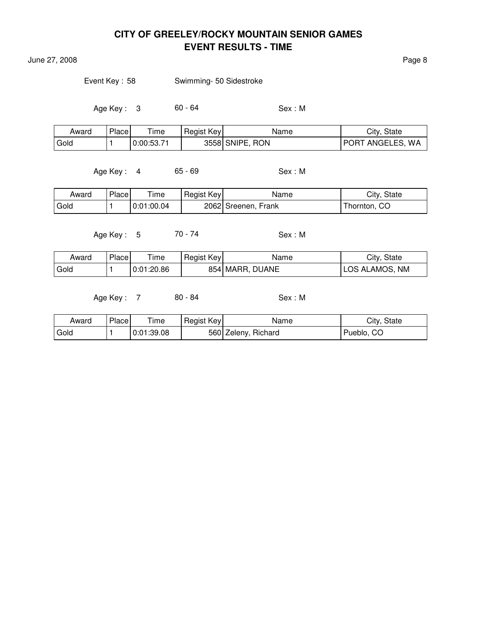June 27, 2008 **Page 8** 

| Event Key: 58 | Swimming- 50 Sidestroke |
|---------------|-------------------------|
|               |                         |

Age Key : 3 60 - 64 Sex : M

| Award | Place | Time       | Regist Key | Name            | City, State             |
|-------|-------|------------|------------|-----------------|-------------------------|
| Gold  |       | 0:00:53.71 |            | 3558 SNIPE, RON | <b>PORT ANGELES, WA</b> |

Age Key : 4 65 - 69 Sex : M

| Award | Place | ime        | Regist Key | Name                | City, State  |
|-------|-------|------------|------------|---------------------|--------------|
| Gold  |       | 0:01:00.04 |            | 2062 Sreenen, Frank | [hornton, CO |

Age Key : 5 70 - 74 Sex : M

| Award | Place | l ime      | Regist Key | Name            | City, State    |
|-------|-------|------------|------------|-----------------|----------------|
| Gold  |       | 0:01:20.86 |            | 854 MARR, DUANE | LOS ALAMOS, NM |

Age Key : 7 80 - 84 Sex : M

| Award | Place | l ime      | Regist Key | Name                | City, State |
|-------|-------|------------|------------|---------------------|-------------|
| Gold  |       | 0:01:39.08 |            | 560 Zeleny, Richard | Pueblo, CO  |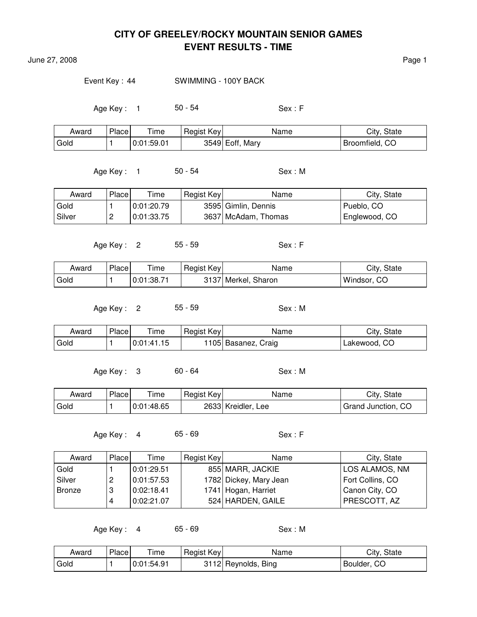June 27, 2008 **Page 1** 

#### Event Key : 44 SWIMMING - 100Y BACK

Age Key : 1 50 - 54 Sex : F

| Award | Place | --<br>ime  | Regist Key | Name            | City, State    |
|-------|-------|------------|------------|-----------------|----------------|
| Gold  |       | 0.01:59.01 |            | 3549 Eoff, Mary | Broomfield, CO |

Age Key : 1 50 - 54 Sex : M

| Award  | Place | Time       | Regist Key | Name                | City, State   |
|--------|-------|------------|------------|---------------------|---------------|
| Gold   |       | 0:01:20.79 |            | 3595 Gimlin, Dennis | Pueblo, CO    |
| Silver |       | 0:01:33.75 |            | 3637 McAdam, Thomas | Englewood, CO |

Age Key: 2 55 - 59 Sex: F

| Award | <b>Place</b> | l ime      | Regist Key | Name                | City, State |
|-------|--------------|------------|------------|---------------------|-------------|
| Gold  |              | 0:01:38.71 |            | 3137 Merkel, Sharon | Windsor, CO |

Age Key: 2 55 - 59 Sex: M

Award Place Time Regist Key Name Name City, State Gold  $\vert$  1  $\vert$  0:01:41.15 | 1105 Basanez, Craig | Lakewood, CO

Age Key: 3 60 - 64 Sex: M

| Award | <b>Place</b> | ÷.<br>ime  | Regist Key | Name                  | City, State        |
|-------|--------------|------------|------------|-----------------------|--------------------|
| Gold  |              | 0:01:48.65 |            | 2633 Kreidler,<br>Lee | Grand Junction, CO |

Age Key : 4 65 - 69 Sex : F

| Award  | Placel | Time       | Regist Key | Name                   | City, State      |
|--------|--------|------------|------------|------------------------|------------------|
| Gold   |        | 0:01:29.51 |            | 855 MARR, JACKIE       | LOS ALAMOS, NM   |
| Silver | ←      | 0:01:57.53 |            | 1782 Dickey, Mary Jean | Fort Collins, CO |
| Bronze | ാ<br>U | 0:02:18.41 |            | 1741 Hogan, Harriet    | Canon City, CO   |
|        |        | 0:02:21.07 |            | 524 HARDEN, GAILE      | PRESCOTT, AZ     |

Age Key : 4 65 - 69 Sex : M

| Award  | <b>Place</b> | Time       | Regist Key | Name                | City, State |
|--------|--------------|------------|------------|---------------------|-------------|
| ' Gold |              | 0:01:54.91 |            | 3112 Reynolds, Bing | Boulder, CO |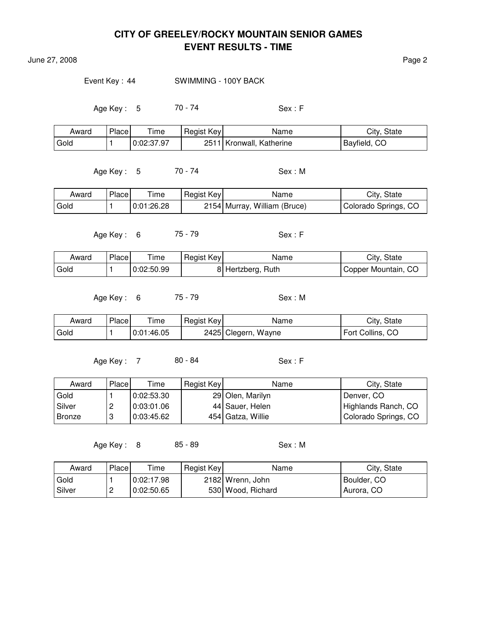**June 27, 2008** Page 2

Event Key: 44 SWIMMING - 100Y BACK

Age Key : 5 70 - 74 Sex : F

| Award | Place | Time       | Regist Key | Name                     | City, State  |
|-------|-------|------------|------------|--------------------------|--------------|
| Gold  |       | 0:02:37.97 |            | 2511 Kronwall, Katherine | Bayfield, CO |

Age Key : 5 70 - 74 Sex : M

| Award | Place | ime        | Regist Key | Name                         | City, State          |
|-------|-------|------------|------------|------------------------------|----------------------|
| Gold  |       | 0:01:26.28 |            | 2154 Murray, William (Bruce) | Colorado Springs, CO |

Age Key : 6 75 - 79 Sex : F

| Award | Place | $\tau$ ime | Regist Key | Name              | City, State         |
|-------|-------|------------|------------|-------------------|---------------------|
| Gold  |       | 0:02:50.99 |            | 8 Hertzberg, Ruth | Copper Mountain, CO |

Age Key: 6 75 - 79 Sex: M

| Award | Place | ime        | Regist Key | Name                | City, State      |
|-------|-------|------------|------------|---------------------|------------------|
| Gold  |       | 0:01:46.05 |            | 2425 Clegern, Wayne | Fort Collins, CO |

Age Key : 7 80 - 84 Sex : F

| Award  | Placel   | Time       | Regist Key | Name              | City, State                 |
|--------|----------|------------|------------|-------------------|-----------------------------|
| Gold   |          | 0:02:53.30 |            | 29 Olen, Marilyn  | Denver, CO                  |
| Silver | <u>.</u> | 0.03:01.06 |            | 44 Sauer, Helen   | Highlands Ranch, CO         |
| Bronze |          | 0:03:45.62 |            | 454 Gatza, Willie | <b>Colorado Springs, CO</b> |

Age Key : 8 85 - 89 Sex : M

| Award    | Place    | Time       | Regist Key | Name              | City, State |
|----------|----------|------------|------------|-------------------|-------------|
| Gold     |          | 0:02:17.98 |            | 2182 Wrenn, John  | Boulder, CO |
| l Silver | <u>_</u> | 0:02:50.65 |            | 530 Wood, Richard | Aurora, CO  |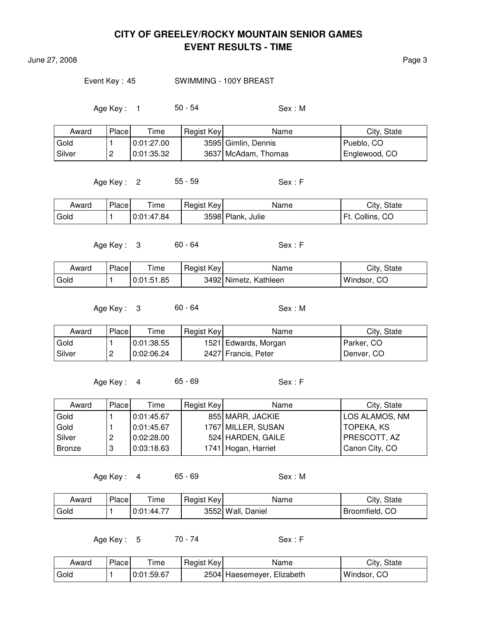June 27, 2008 Page 3

#### Event Key: 45 SWIMMING - 100Y BREAST

Age Key : 1 50 - 54 Sex : M

| Award  | Place    | Time       | Regist Key | Name                | City, State   |
|--------|----------|------------|------------|---------------------|---------------|
| Gold   |          | 0:01:27.00 |            | 3595 Gimlin, Dennis | Pueblo, CO    |
| Silver | <u>_</u> | 0:01:35.32 |            | 3637 McAdam, Thomas | Englewood, CO |

Age Key : 2 55 - 59 Sex : F

| Award | Place | ime        | Regist Key | Name              | City, State           |
|-------|-------|------------|------------|-------------------|-----------------------|
| Gold  |       | 0:01:47.84 |            | 3598 Plank, Julie | Collins, CO<br>`Ft. ∶ |

Age Key : 3 60 - 64 Sex : F

| Award | Place | --<br>ime  | Regist Key | Name                  | City, State |
|-------|-------|------------|------------|-----------------------|-------------|
| Gold  |       | 0:01:51.85 |            | 3492 Nimetz, Kathleen | Windsor, CO |

Age Key : 3 60 - 64 Sex : M

| Award  | Place | Time       | Regist Key | Name                 | City, State |
|--------|-------|------------|------------|----------------------|-------------|
| Gold   |       | 0:01:38.55 |            | 1521 Edwards, Morgan | Parker, CO  |
| Silver | ∼     | 0:02:06.24 |            | 2427 Francis, Peter  | Denver, CO  |

Age Key: 4 65 - 69 Sex: F

| Award  | Place | Time       | Regist Key | Name                | City, State    |
|--------|-------|------------|------------|---------------------|----------------|
| Gold   |       | 0:01:45.67 |            | 855 MARR, JACKIE    | LOS ALAMOS, NM |
| Gold   |       | 0:01:45.67 |            | 1767 MILLER, SUSAN  | TOPEKA, KS     |
| Silver | 2     | 0:02:28.00 |            | 524 HARDEN, GAILE   | PRESCOTT, AZ   |
| Bronze | 3     | 0:03:18.63 |            | 1741 Hogan, Harriet | Canon City, CO |

Age Key: 4 65 - 69 Sex: M

| Award  | Place | ime       | Regist Key | Name              | City,<br>, State |
|--------|-------|-----------|------------|-------------------|------------------|
| ' Gold |       | 0:01:44.7 |            | 3552 Wall, Daniel | Broomfield, CO   |

Age Key : 5 70 - 74 Sex : F

| Award | Place | --<br>ime  | Regist Key | Name                       | City, State |
|-------|-------|------------|------------|----------------------------|-------------|
| Gold  |       | 0:01:59.67 |            | 2504 Haesemeyer, Elizabeth | Windsor, CO |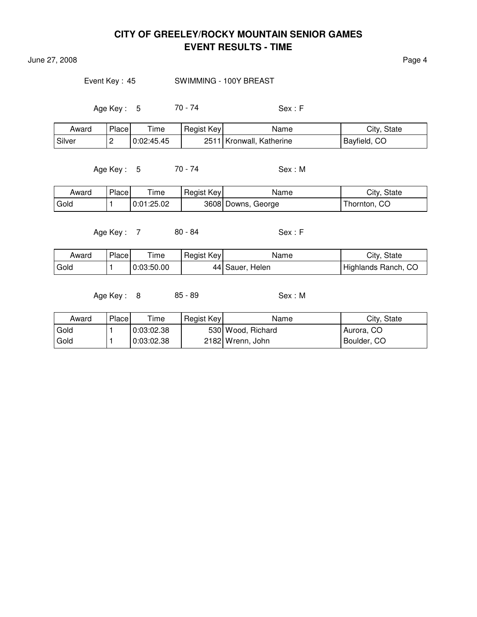June 27, 2008 **Page 4** 

Event Key: 45 SWIMMING - 100Y BREAST

Age Key : 5 70 - 74 Sex : F

| Award    | Place, | $\tau$ ime | Regist Key | Name                       | City, State  |
|----------|--------|------------|------------|----------------------------|--------------|
| l Silver |        | 0:02:45.45 |            | 2511   Kronwall, Katherine | Bayfield, CO |

Age Key : 5 70 - 74 Sex : M

| Award | Place | Time       | Regist Key | Name               | City, State  |
|-------|-------|------------|------------|--------------------|--------------|
| Gold  |       | 0:01:25.02 |            | 3608 Downs, George | Thornton, CO |

Age Key : 7 80 - 84 Sex : F

| Award | Place | --<br>' ime | Regist Key | Name             | City, State         |
|-------|-------|-------------|------------|------------------|---------------------|
| Gold  |       | 0:03:50.00  |            | 44  Sauer, Helen | Highlands Ranch, CO |

Age Key: 8 85 - 89 Sex: M

| Award | Place | $T$ ime    | Regist Key | Name              | City, State |
|-------|-------|------------|------------|-------------------|-------------|
| Gold  |       | 0:03:02.38 |            | 530 Wood, Richard | Aurora, CO  |
| Gold  |       | 0.03.02.38 |            | 2182 Wrenn, John  | Boulder, CO |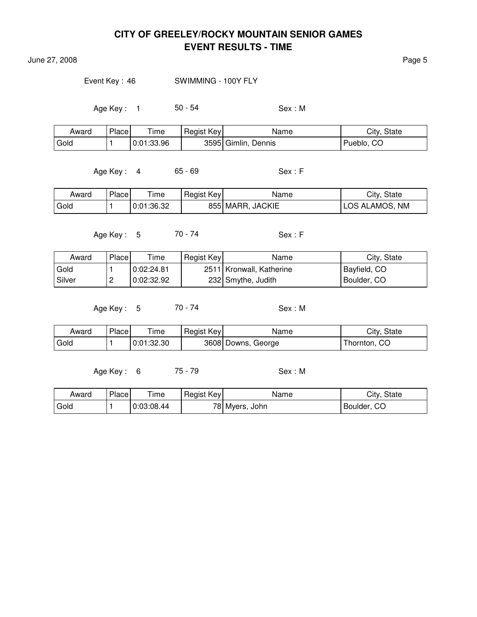June 27, 2008 **Page 5** 

#### Event Key: 46 SWIMMING - 100Y FLY

Age Key : 1 50 - 54 Sex : M

| Award | Place | ime        | Regist Key | Name                   | City, State      |
|-------|-------|------------|------------|------------------------|------------------|
| Gold  |       | 0:01:33.96 |            | 3595 Gimlin,<br>Dennis | -CO<br>' Pueblo, |

Age Key : 4 65 - 69 Sex : F

| Award | Place | ime        | Regist Key | Name             | City, State                     |
|-------|-------|------------|------------|------------------|---------------------------------|
| Gold  |       | 0:01:36.32 |            | 855 MARR, JACKIE | <b>NM</b><br><b>LOS ALAMOS,</b> |

Age Key : 5 70 - 74 Sex : F

| Award  | Place    | Time       | Regist Key | Name                     | City, State  |
|--------|----------|------------|------------|--------------------------|--------------|
| Gold   |          | 0:02:24.81 |            | 2511 Kronwall, Katherine | Bayfield, CO |
| Silver | <u>_</u> | 0:02:32.92 |            | 232 Smythe, Judith       | Boulder, CO  |

Age Key : 5 70 - 74 Sex : M

| Award | <b>Place</b> | Time       | Regist Key | Name               | City, State  |
|-------|--------------|------------|------------|--------------------|--------------|
| Gold  |              | 0:01:32.30 |            | 3608 Downs, George | Thornton, CO |

Age Key : 6 75 - 79 Sex : M

| Award  | Place | ime        | Regist Key | Name           | City, State |
|--------|-------|------------|------------|----------------|-------------|
| ' Gold |       | 0:03:08.44 |            | 78 Myers, John | Boulder, CO |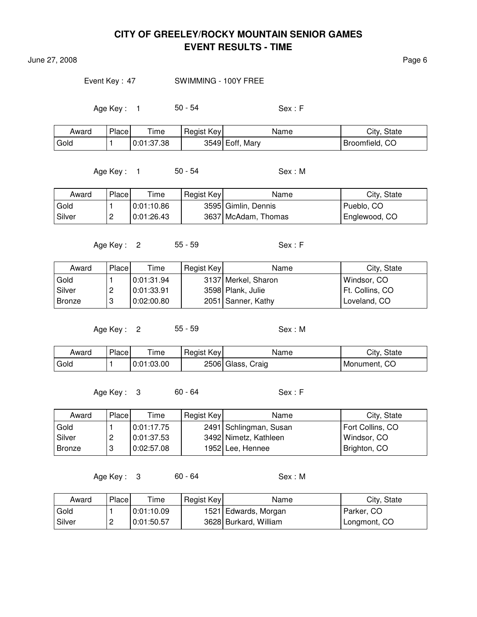June 27, 2008 Page 6

#### Event Key : 47 SWIMMING - 100Y FREE

Age Key : 1 50 - 54 Sex : F

| Award | Place | $T$ ime    | Regist Key | Name            | City, State    |
|-------|-------|------------|------------|-----------------|----------------|
| Gold  |       | 0:01:37.38 |            | 3549 Eoff, Mary | Broomfield, CO |

Age Key : 1 50 - 54 Sex : M

Award Place Time Regist Key Name Name City, State Gold  $\vert$  1  $\vert$  0:01:10.86  $\vert$  3595 Gimlin, Dennis Pueblo, CO Silver | 2 | 0:01:26.43 | 3637 McAdam, Thomas | Englewood, CO

Age Key : 2 55 - 59 Sex : F

Award Place Time Regist Key Name Name City, State Gold  $\vert$  1  $\vert$  0:01:31.94  $\vert$  3137 Merkel, Sharon Windsor, CO Silver | 2 | 0:01:33.91 | 3598 Plank, Julie | Ft. Collins, CO Bronze | 3 | 0:02:00.80 | 2051 | Sanner, Kathy | Loveland, CO

Age Key: 2 55 - 59 Sex: M

| Award             | Place | $\tau$ ime | Regist Key | Name              | City, State  |
|-------------------|-------|------------|------------|-------------------|--------------|
| <sup>'</sup> Gold |       | 0:01:03.00 |            | 2506 Glass, Craig | Monument, CO |

Age Key : 3 60 - 64 Sex : F

| Award    | Place | Time       | Regist Key | Name                   | City, State      |
|----------|-------|------------|------------|------------------------|------------------|
| Gold     |       | 0:01:17.75 |            | 2491 Schlingman, Susan | Fort Collins, CO |
| l Silver | ,     | 0:01:37.53 |            | 3492 Nimetz, Kathleen  | Windsor, CO      |
| Bronze   |       | 0:02:57.08 |            | 1952 Lee, Hennee       | Brighton, CO     |

Age Key : 3 60 - 64 Sex : M

| Award    | Place    | Time       | Regist Key | Name                  | City, State  |
|----------|----------|------------|------------|-----------------------|--------------|
| Gold     |          | 0.01:10.09 |            | 1521 Edwards, Morgan  | Parker, CO   |
| l Silver | <u>.</u> | 0:01:50.57 |            | 3628 Burkard, William | Longmont, CO |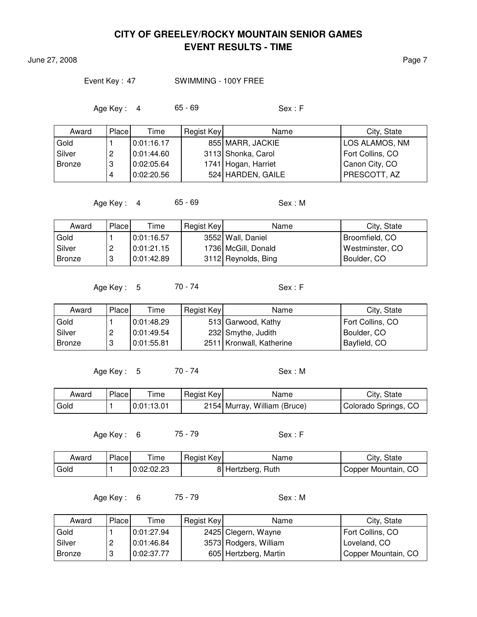June 27, 2008 **Page 7** 

#### Event Key: 47 SWIMMING - 100Y FREE

Age Key : 4 65 - 69 Sex : F

| Award         | Place | Time       | Regist Key | Name                | City, State      |
|---------------|-------|------------|------------|---------------------|------------------|
| Gold          |       | 0:01:16.17 |            | 855 MARR, JACKIE    | LOS ALAMOS, NM   |
| Silver        | 2     | 0:01:44.60 |            | 3113 Shonka, Carol  | Fort Collins, CO |
| <b>Bronze</b> | 3     | 0:02:05.64 |            | 1741 Hogan, Harriet | Canon City, CO   |
|               | 4     | 0:02:20.56 |            | 524 HARDEN, GAILE   | PRESCOTT, AZ     |

Age Key : 4 65 - 69 Sex : M

| Award         | Place | Time       | Regist Key | Name                | City, State     |
|---------------|-------|------------|------------|---------------------|-----------------|
| Gold          |       | 0:01:16.57 |            | 3552 Wall, Daniel   | Broomfield, CO  |
| Silver        |       | 0:01:21.15 |            | 1736 McGill, Donald | Westminster, CO |
| <b>Bronze</b> | 3     | 0:01:42.89 |            | 3112 Reynolds, Bing | Boulder, CO     |

Age Key: 5 70 - 74 Sex: F

| Award    | Place | Time       | Regist Key | Name                       | City, State      |
|----------|-------|------------|------------|----------------------------|------------------|
| Gold     |       | 0:01:48.29 |            | 513 Garwood, Kathy         | Fort Collins, CO |
| l Silver |       | 0:01:49.54 |            | 232 Smythe, Judith         | Boulder, CO      |
| Bronze   |       | 0:01:55.81 |            | 2511   Kronwall, Katherine | Bayfield, CO     |

Age Key : 5 70 - 74 Sex : M

| Award | Place | $T$ ime    | Regist Key | Name                         | City, State          |
|-------|-------|------------|------------|------------------------------|----------------------|
| Gold  |       | 0:01:13.01 |            | 2154 Murray, William (Bruce) | Colorado Springs, CO |

Age Key : 6 75 - 79 Sex : F

| Award | Place | ime        | Regist Key | Name              | City, State         |
|-------|-------|------------|------------|-------------------|---------------------|
| Gold  |       | 0:02:02.23 |            | 8 Hertzberg, Ruth | Copper Mountain, CO |

Age Key : 6 75 - 79 Sex : M

| Award         | Place | Time       | Regist Key | Name                  | City, State         |
|---------------|-------|------------|------------|-----------------------|---------------------|
| Gold          |       | 0:01:27.94 |            | 2425 Clegern, Wayne   | Fort Collins, CO    |
| Silver        | ∼     | 0:01:46.84 |            | 3573 Rodgers, William | Loveland, CO        |
| <b>Bronze</b> | U     | 0:02:37.77 |            | 605 Hertzberg, Martin | Copper Mountain, CO |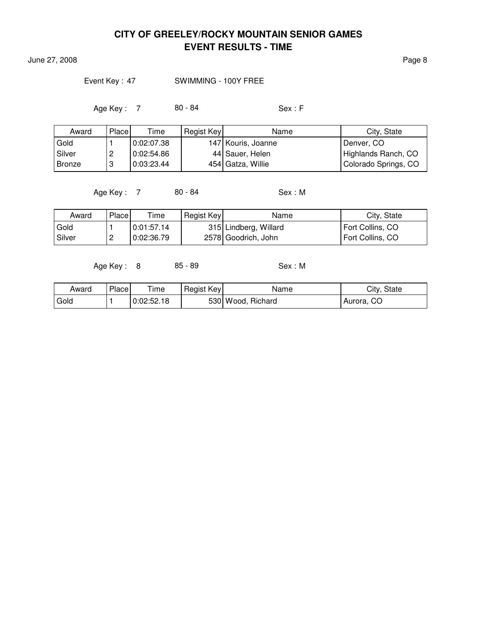June 27, 2008 Page 8

### Event Key: 47 SWIMMING - 100Y FREE

Age Key : 7 80 - 84 Sex : F

| Award         | Place    | Time       | Regist Key | Name               | City, State          |
|---------------|----------|------------|------------|--------------------|----------------------|
| Gold          |          | 0:02:07.38 |            | 147 Kouris, Joanne | Denver, CO           |
| Silver        | <u>_</u> | 0:02:54.86 |            | 44 Sauer, Helen    | Highlands Ranch, CO  |
| <b>Bronze</b> | 3        | 0:03:23.44 |            | 454 Gatza, Willie  | Colorado Springs, CO |

Age Key : 7 80 - 84 Sex : M

| Award    | <b>Place</b> | Time       | Regist Key | Name                  | City, State      |
|----------|--------------|------------|------------|-----------------------|------------------|
| Gold     |              | 0:01:57.14 |            | 315 Lindberg, Willard | Fort Collins, CO |
| l Silver | <u>_</u>     | 0:02:36.79 |            | 2578 Goodrich, John   | Fort Collins, CO |

Age Key: 8 85 - 89 Sex: M

| Award | Place <sub>1</sub> | Time       | Regist Key | Name              | City, State |
|-------|--------------------|------------|------------|-------------------|-------------|
| Gold  |                    | 0:02:52.18 |            | 530 Wood, Richard | Aurora, CO  |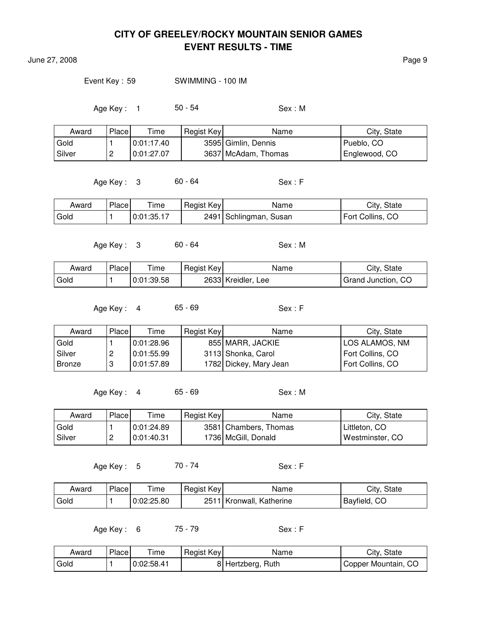June 27, 2008 Page 9

Event Key : 59 SWIMMING - 100 IM

Age Key: 1 50 - 54 Sex: M

| Award  | Place    | Time       | Regist Key | Name                | City, State   |
|--------|----------|------------|------------|---------------------|---------------|
| Gold   |          | 0:01:17.40 |            | 3595 Gimlin, Dennis | Pueblo, CO    |
| Silver | <u>_</u> | 0:01:27.07 |            | 3637 McAdam, Thomas | Englewood, CO |

Age Key : 3 60 - 64 Sex : F

| Award | Place | Time       | Regist Key | Name                   | City, State      |
|-------|-------|------------|------------|------------------------|------------------|
| Gold  |       | 0.01:35.17 |            | 2491 Schlingman, Susan | Fort Collins, CO |

Age Key: 3 60 - 64 Sex: M

Award Place Time Regist Key Name Name City, State Gold  $\vert$  1  $\vert$  0:01:39.58  $\vert$  2633 Kreidler, Lee  $\vert$  Grand Junction, CO

Age Key : 4 65 - 69 Sex : F

| Award    | Placel | Time       | Regist Key | Name                   | City, State      |
|----------|--------|------------|------------|------------------------|------------------|
| Gold     |        | 0:01:28.96 |            | 855 MARR, JACKIE       | LOS ALAMOS, NM   |
| l Silver | ,      | 0:01:55.99 |            | 3113 Shonka, Carol     | Fort Collins, CO |
| Bronze   |        | 0.01:57.89 |            | 1782 Dickey, Mary Jean | Fort Collins, CO |

Age Key: 4 65 - 69 Sex: M

Award Place Time Regist Key Name Name City, State Gold  $\vert$  1  $\vert$  0:01:24.89  $\vert$  3581 Chambers, Thomas  $\vert$  Littleton, CO Silver |2 | 0:01:40.31 | 1736 | McGill, Donald | Westminster, CO

Age Key : 5 70 - 74 Sex : F

| Award | Place | ime        | Regist Key | Name                | City.<br>State    |
|-------|-------|------------|------------|---------------------|-------------------|
| Gold  |       | 0:02:25.80 | 2511       | Kronwall, Katherine | -CO<br>'Bayfield, |

Age Key : 6 75 - 79 Sex : F

| Award | Place | Time       | Regist Key | Name              | City, State         |
|-------|-------|------------|------------|-------------------|---------------------|
| Gold  |       | 0:02:58.41 |            | 8 Hertzberg, Ruth | Copper Mountain, CO |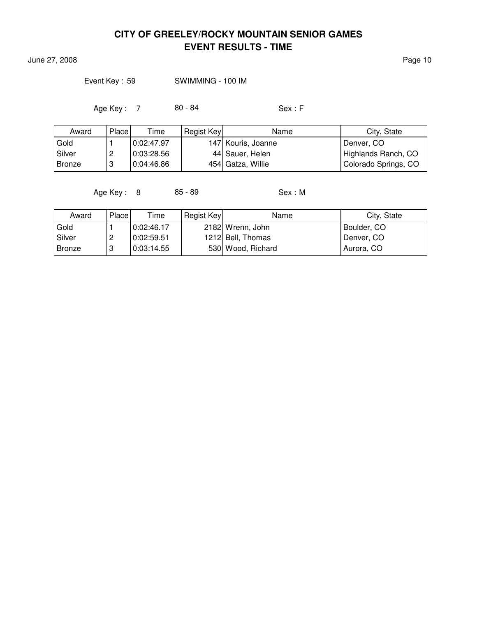June 27, 2008 **Page 10** 

Event Key : 59 SWIMMING - 100 IM

Age Key : 7 80 - 84 Sex : F

| Award         | Place | Time       | Regist Key | Name               | City, State          |
|---------------|-------|------------|------------|--------------------|----------------------|
| Gold          |       | 0:02:47.97 |            | 147 Kouris, Joanne | Denver, CO           |
| Silver        | ∼     | 0:03:28.56 |            | 44 Sauer, Helen    | Highlands Ranch, CO  |
| <b>Bronze</b> | ີ     | 0:04:46.86 |            | 454 Gatza, Willie  | Colorado Springs, CO |

Age Key : 8 85 - 89 Sex : M

| Award         | Place    | Time         | Regist Key | Name              | City, State |
|---------------|----------|--------------|------------|-------------------|-------------|
| Gold          |          | l 0:02:46.17 |            | 2182 Wrenn, John  | Boulder, CO |
| Silver        | <u>.</u> | 0:02:59.51   |            | 1212 Bell, Thomas | Denver, CO  |
| <b>Bronze</b> |          | 0:03:14.55   |            | 530 Wood, Richard | Aurora, CO  |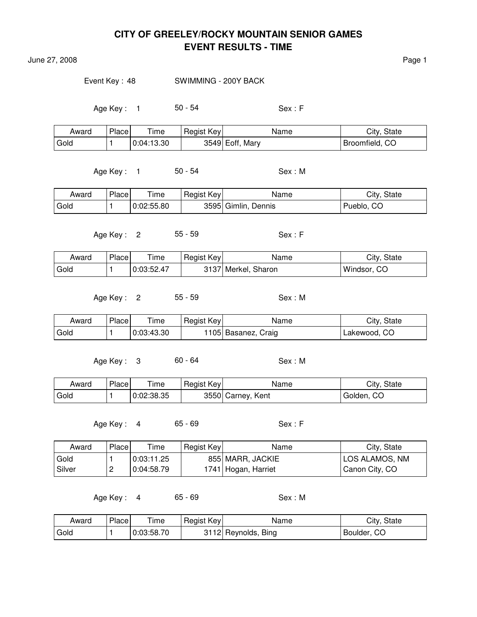June 27, 2008 **Page 1** 

Event Key: 48 SWIMMING - 200Y BACK

Age Key : 1 50 - 54 Sex : F

| Award | Place | $T$ ime    | Regist Key | Name            | City, State    |
|-------|-------|------------|------------|-----------------|----------------|
| Gold  |       | 0.04:13.30 |            | 3549 Eoff, Mary | Broomfield, CO |

Age Key : 1 50 - 54 Sex : M

| Award | Place | Time       | Regist Key | Name                | City, State |
|-------|-------|------------|------------|---------------------|-------------|
| Gold  |       | 0:02:55.80 |            | 3595 Gimlin, Dennis | Pueblo, CO  |

Age Key : 2 55 - 59 Sex : F

| Award | Place | Time       | Regist Key | Name                | City, State |
|-------|-------|------------|------------|---------------------|-------------|
| Gold  |       | 0:03:52.47 |            | 3137 Merkel, Sharon | Windsor, CO |

Age Key: 2 55 - 59 Sex: M

| Award | Place | --<br>ime  | Regist Key | Name               | City, State  |
|-------|-------|------------|------------|--------------------|--------------|
| Gold  |       | 0:03:43.30 |            | 105 Basanez, Craig | Lakewood, CO |

Age Key: 3 60 - 64 Sex: M

| Award | Place | Time       | Regist Key | Name              | City, State |
|-------|-------|------------|------------|-------------------|-------------|
| Gold  |       | 0:02:38.35 |            | 3550 Carney, Kent | Golden, CO  |

Age Key : 4 65 - 69 Sex : F

| Award    | Place | Time         | Regist Key | Name                | City, State    |
|----------|-------|--------------|------------|---------------------|----------------|
| Gold     |       | ' 0:03:11.25 |            | 855 MARR, JACKIE    | LOS ALAMOS, NM |
| l Silver | ▃     | 0:04:58.79   |            | 1741 Hogan, Harriet | Canon City, CO |

Age Key : 4 65 - 69 Sex : M

| Award             | Place | $T$ ime    | Regist Key | Name                   | City, State |
|-------------------|-------|------------|------------|------------------------|-------------|
| <sup>I</sup> Gold |       | 0:03:58.70 |            | Bing<br>3112 Reynolds, | Boulder, CO |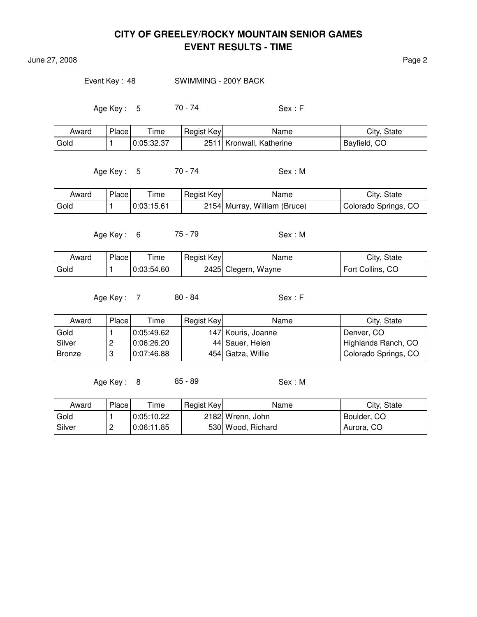June 27, 2008 Page 2

Event Key : 48 SWIMMING - 200Y BACK

Age Key : 5 70 - 74 Sex : F

| Award | Place | Time       | Regist Key | Name                       | City, State  |
|-------|-------|------------|------------|----------------------------|--------------|
| Gold  |       | 0:05:32.37 |            | 2511   Kronwall, Katherine | Bayfield, CO |

Age Key : 5 70 - 74 Sex : M

| Award | Place | ime        | Regist Key | Name                         | City, State          |
|-------|-------|------------|------------|------------------------------|----------------------|
| Gold  |       | 0:03:15.61 |            | 2154 Murray, William (Bruce) | Colorado Springs, CO |

Age Key : 6 75 - 79 Sex : M

| Award | <b>Place</b> | Time       | Regist Key | Name                | City, State      |
|-------|--------------|------------|------------|---------------------|------------------|
| Gold  |              | 0:03:54.60 |            | 2425 Clegern, Wayne | Fort Collins, CO |

Age Key : 7 80 - 84 Sex : F

| Award    | Place | Time       | Regist Key | Name               | City, State          |
|----------|-------|------------|------------|--------------------|----------------------|
| Gold     |       | 0:05:49.62 |            | 147 Kouris, Joanne | Denver, CO           |
| l Silver |       | 0:06:26.20 |            | 44 Sauer, Helen    | Highlands Ranch, CO  |
| Bronze   | u     | 0:07:46.88 |            | 454 Gatza, Willie  | Colorado Springs, CO |

Age Key: 8 85 - 89 Sex: M

| Award  | Place    | Time       | Regist Key | Name              | City, State |
|--------|----------|------------|------------|-------------------|-------------|
| Gold   |          | 0:05:10.22 |            | 2182 Wrenn, John  | Boulder, CO |
| Silver | <u>_</u> | 0:06:11.85 |            | 530 Wood, Richard | Aurora, CO  |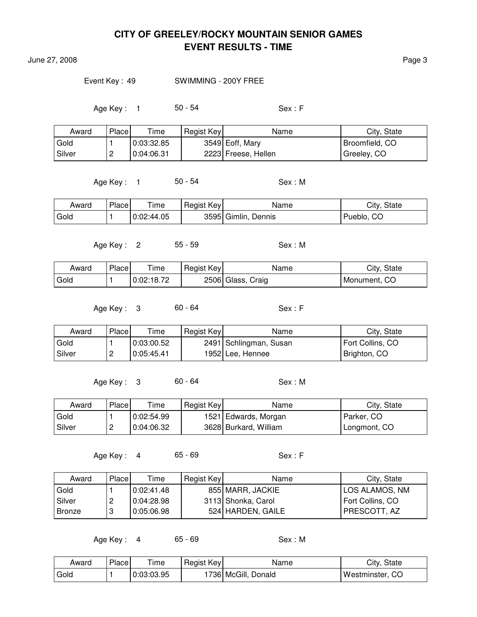June 27, 2008 Page 3

#### Event Key : 49 SWIMMING - 200Y FREE

Age Key : 1 50 - 54 Sex : F

| Award  | Place    | Time       | Regist Key | Name                | City, State    |
|--------|----------|------------|------------|---------------------|----------------|
| Gold   |          | 0.03.32.85 |            | 3549 Eoff, Mary     | Broomfield, CO |
| Silver | <u>_</u> | 0.04:06.31 |            | 2223 Freese, Hellen | Greeley, CO    |

Age Key : 1 50 - 54 Sex : M

| Award | Place | Time       | Regist Key | Name                | City, State |
|-------|-------|------------|------------|---------------------|-------------|
| Gold  |       | 0:02:44.05 |            | 3595 Gimlin, Dennis | Pueblo, CO  |

Age Key: 2 55 - 59 Sex: M

| Award | Place | ime        | Regist Key | Name              | City, State  |
|-------|-------|------------|------------|-------------------|--------------|
| Gold  |       | 0:02:18.72 |            | 2506 Glass, Craig | Monument, CO |

Age Key : 3 60 - 64 Sex : F

| Award  | Place    | Time       | Regist Key | Name                   | City, State      |
|--------|----------|------------|------------|------------------------|------------------|
| Gold   |          | 0:03:00.52 |            | 2491 Schlingman, Susan | Fort Collins, CO |
| Silver | <u>_</u> | 0:05:45.41 |            | 1952 Lee, Hennee       | Brighton, CO     |

Age Key: 3 60 - 64 Sex: M

| Award    | Place    | Time       | Regist Key | Name                  | City, State  |
|----------|----------|------------|------------|-----------------------|--------------|
| Gold     |          | 0:02:54.99 |            | 1521 Edwards, Morgan  | Parker, CO   |
| l Silver | <u>_</u> | 0.04:06.32 |            | 3628 Burkard, William | Longmont, CO |

Age Key: 4 65 - 69 Sex: F

| Award    | Place | Time       | Regist Key | Name               | City, State      |
|----------|-------|------------|------------|--------------------|------------------|
| Gold     |       | 0:02:41.48 |            | 855 MARR, JACKIE   | LOS ALAMOS, NM   |
| l Silver | ←     | 0:04:28.98 |            | 3113 Shonka, Carol | Fort Collins, CO |
| l Bronze |       | 0:05:06.98 |            | 524 HARDEN, GAILE  | PRESCOTT, AZ     |

Age Key : 4 65 - 69 Sex : M

| Award | Place | $T$ ime    | Regist Key | Name                | City, State     |
|-------|-------|------------|------------|---------------------|-----------------|
| Gold  |       | 0:03:03.95 |            | 1736 McGill, Donald | Westminster, CO |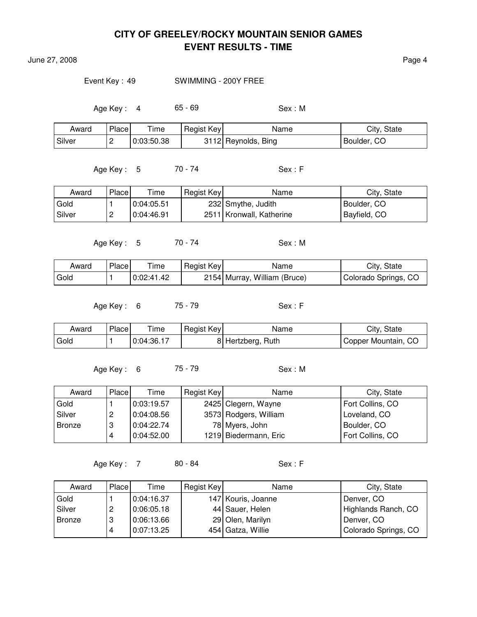June 27, 2008 **Page 4** 

Event Key : 49 SWIMMING - 200Y FREE

Age Key: 4 65 - 69 Sex: M

| Award    | Place <sub>1</sub> | Time       | Regist Key | Name                | City, State |
|----------|--------------------|------------|------------|---------------------|-------------|
| l Silver |                    | 0:03:50.38 |            | 3112 Reynolds, Bing | Boulder, CO |

Age Key : 5 70 - 74 Sex : F

Award Place Time Regist Key Name Name City, State Gold  $\vert$  1  $\vert$  0:04:05.51 232 Smythe, Judith Boulder, CO Silver | 2 | 0:04:46.91 | 2511 | Kronwall, Katherine | Bayfield, CO

Age Key : 5 70 - 74 Sex : M

Award Place Time Regist Key Name Name City, State Gold  $\vert$  1  $\vert$  0:02:41.42  $\vert$  2154 Murray, William (Bruce) Colorado Springs, CO

Age Key : 6 75 - 79 Sex : F

| Award | Place | Time       | Regist Key | Name              | City, State         |
|-------|-------|------------|------------|-------------------|---------------------|
| Gold  |       | 0:04:36.17 |            | 8 Hertzberg, Ruth | Copper Mountain, CO |

Age Key: 6 75 - 79 Sex: M

| Award  | Place  | Time       | Regist Key | Name                  | City, State      |
|--------|--------|------------|------------|-----------------------|------------------|
| Gold   |        | 0:03:19.57 |            | 2425 Clegern, Wayne   | Fort Collins, CO |
| Silver | റ<br>ے | 0.04:08.56 |            | 3573 Rodgers, William | Loveland, CO     |
| Bronze | റ<br>د | 0:04:22.74 |            | 78 Myers, John        | Boulder, CO      |
|        | 4      | 0:04:52.00 |            | 1219 Biedermann, Eric | Fort Collins, CO |

Age Key : 7 80 - 84 Sex : F

| Award         | Place  | Time       | Regist Key | Name               | City, State          |
|---------------|--------|------------|------------|--------------------|----------------------|
| Gold          |        | 0:04:16.37 |            | 147 Kouris, Joanne | Denver, CO           |
| Silver        | റ<br>∼ | 0:06:05.18 |            | 44 Sauer, Helen    | Highlands Ranch, CO  |
| <b>Bronze</b> | 3      | 0:06:13.66 |            | 29 Olen, Marilyn   | Denver, CO           |
|               |        | 0:07:13.25 |            | 454 Gatza, Willie  | Colorado Springs, CO |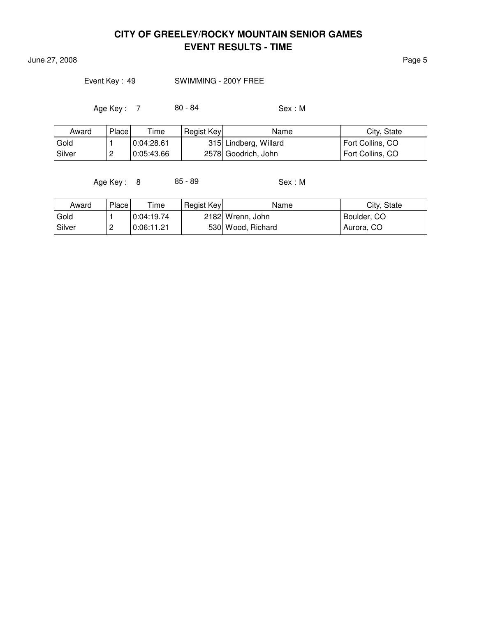**June 27, 2008** Page 5

Event Key : 49 SWIMMING - 200Y FREE

Age Key : 7 80 - 84 Sex : M

| Award    | Place | Time       | Regist Key | Name                  | City, State      |
|----------|-------|------------|------------|-----------------------|------------------|
| Gold     |       | 0:04:28.61 |            | 315 Lindberg, Willard | Fort Collins, CO |
| l Silver | ∼     | 0:05:43.66 |            | 2578 Goodrich, John   | Fort Collins, CO |

Age Key : 8 85 - 89 Sex : M

| Award    | Place    | Time       | Regist Key | Name              | City, State |
|----------|----------|------------|------------|-------------------|-------------|
| Gold     |          | 0:04:19.74 |            | 2182 Wrenn, John  | Boulder, CO |
| l Silver | <u>_</u> | 0:06:11.21 |            | 530 Wood, Richard | Aurora, CO  |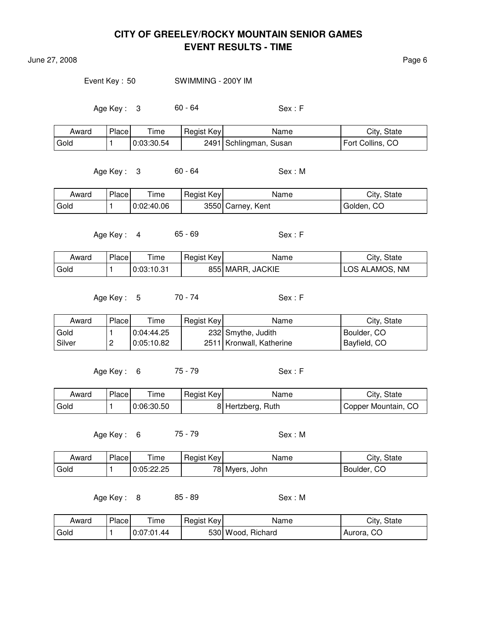June 27, 2008 Page 6

Event Key : 50 SWIMMING - 200Y IM

Age Key : 3 60 - 64 Sex : F

| Award | Place | Time       | Regist Key | Name                   | City, State      |
|-------|-------|------------|------------|------------------------|------------------|
| Gold  |       | 0:03:30.54 |            | 2491 Schlingman, Susan | Fort Collins, CO |

Age Key : 3 60 - 64 Sex : M

| Award | Place | --<br>ime  | Regist Key | Name              | City, State |
|-------|-------|------------|------------|-------------------|-------------|
| Gold  |       | 0:02:40.06 |            | 3550 Carney, Kent | Golden, CO  |

Age Key : 4 65 - 69 Sex : F

| Award | Place, | ime        | Regist Key | Name             | City, State    |
|-------|--------|------------|------------|------------------|----------------|
| Gold  |        | 0:03:10.31 |            | 855 MARR, JACKIE | LOS ALAMOS, NM |

Age Key : 5 70 - 74 Sex : F

| Award    | Place    | Time       | Regist Key | Name                       | City, State  |
|----------|----------|------------|------------|----------------------------|--------------|
| Gold     |          | 0:04:44.25 |            | 232 Smythe, Judith         | Boulder, CO  |
| l Silver | <u>.</u> | 0:05:10.82 |            | 2511   Kronwall, Katherine | Bayfield, CO |

Age Key : 6 75 - 79 Sex : F

| Award             | Place | ime        | Regist Key | Name            | City, State         |
|-------------------|-------|------------|------------|-----------------|---------------------|
| <sup>l</sup> Gold |       | 0:06:30.50 | ΟI         | Hertzberg, Ruth | Copper Mountain, CO |

Age Key : 6 75 - 79 Sex : M

| Award | Place | ime        | Regist Key | Name           | City, State |
|-------|-------|------------|------------|----------------|-------------|
| Gold  |       | 0:05:22.25 |            | 78 Myers, John | Boulder, CO |

Age Key: 8 85 - 89 Sex: M

| Award  | Place | ime        | Regist Key | Name              | City, State |
|--------|-------|------------|------------|-------------------|-------------|
| ' Gold |       | 0:07:01.44 |            | 530 Wood, Richard | Aurora, CO  |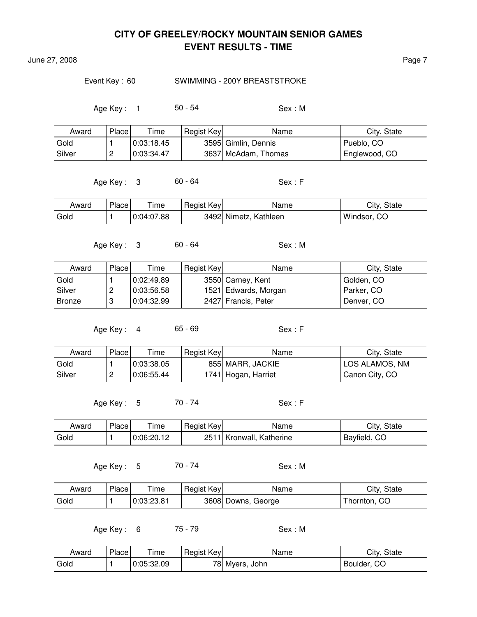June 27, 2008 Page 7

#### Event Key: 60 SWIMMING - 200Y BREASTSTROKE

Age Key: 1 50 - 54 Sex: M

| Award    | Place    | Time       | Regist Key | Name                | City, State   |
|----------|----------|------------|------------|---------------------|---------------|
| Gold     |          | 0:03:18.45 |            | 3595 Gimlin, Dennis | Pueblo, CO    |
| l Silver | <u>_</u> | 0:03:34.47 |            | 3637 McAdam, Thomas | Englewood, CO |

Age Key : 3 60 - 64 Sex : F

| Award | Place | ime        | Regist Key | Name                  | City, State |
|-------|-------|------------|------------|-----------------------|-------------|
| Gold  |       | 0:04:07.88 |            | 3492 Nimetz, Kathleen | Windsor, CO |

Age Key: 3 60 - 64 Sex: M

Award Place Time Regist Key Name Name City, State Gold  $\vert$  1  $\vert$  0:02:49.89  $\vert$  3550 Carney, Kent  $\vert$  Golden, CO Silver | 2 | 0:03:56.58 | 1521 Edwards, Morgan | Parker, CO Bronze | 3 | 0:04:32.99 | 2427 Francis, Peter | Denver, CO

Age Key : 4 65 - 69 Sex : F

| Award  | Place    | $\tau$ ime | Regist Key | Name                | City, State    |
|--------|----------|------------|------------|---------------------|----------------|
| Gold   |          | 0:03:38.05 |            | 855 MARR, JACKIE    | LOS ALAMOS, NM |
| Silver | <u>_</u> | 0:06:55.44 |            | 1741 Hogan, Harriet | Canon City, CO |

Age Key : 5 70 - 74 Sex : F

| Award | Place | ime        | Regist Key | Name                     | City, State  |
|-------|-------|------------|------------|--------------------------|--------------|
| Gold  |       | 0:06:20.12 |            | 2511 Kronwall, Katherine | Bayfield, CO |

Age Key : 5 70 - 74 Sex : M

| Award | Place | Time       | Regist Key | Name               | City, State  |
|-------|-------|------------|------------|--------------------|--------------|
| Gold  |       | 0:03:23.81 |            | 3608 Downs, George | Thornton, CO |

Age Key : 6 75 - 79 Sex : M

| Award | Place | ime        | Regist Key <sup>1</sup> | Name           | City<br>State       |
|-------|-------|------------|-------------------------|----------------|---------------------|
| Gold  |       | 0:05:32.09 |                         | 78 Myers, John | ⌒⌒<br>Boulder,<br>w |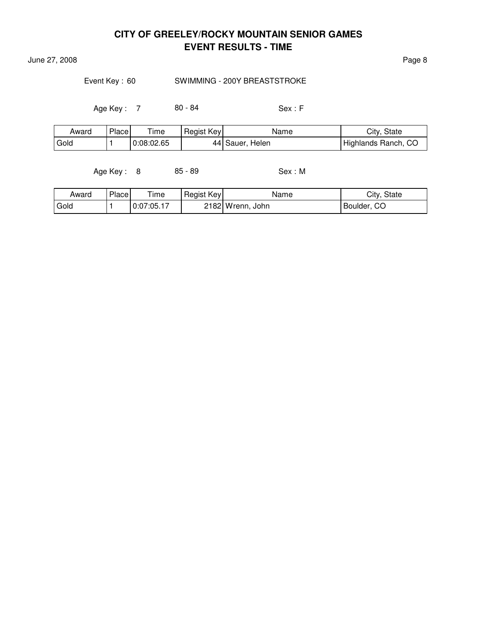**June 27, 2008** Page 8

### Event Key: 60 SWIMMING - 200Y BREASTSTROKE

Age Key : 7 80 - 84 Sex : F

| Award | Place | i ime      | Regist Key | Name            | City, State         |
|-------|-------|------------|------------|-----------------|---------------------|
| Gold  |       | 0:08:02.65 |            | 44 Sauer, Helen | Highlands Ranch, CO |

Age Key: 8 85 - 89 Sex: M

| Award | Place | ' ime      | Regist Key | Name             | City, State   |
|-------|-------|------------|------------|------------------|---------------|
| Gold  |       | 0:07:05.17 |            | 2182 Wrenn, John | l Boulder, CO |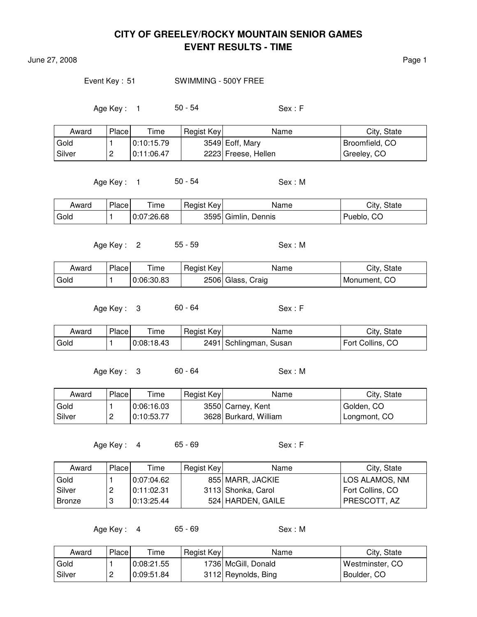June 27, 2008 **Page 1** 

#### Event Key: 51 SWIMMING - 500Y FREE

Age Key : 1 50 - 54 Sex : F

| Award  | Place    | $\tau$ ime | Regist Key | Name                | City, State    |
|--------|----------|------------|------------|---------------------|----------------|
| Gold   |          | 0:10:15.79 |            | 3549 Eoff, Mary     | Broomfield, CO |
| Silver | <u>_</u> | 0:11:06.47 |            | 2223 Freese, Hellen | Greeley, CO    |

Age Key : 1 50 - 54 Sex : M

| Award | Place | l ime      | Regist Key | Name                | City, State |
|-------|-------|------------|------------|---------------------|-------------|
| Gold  |       | 0:07:26.68 |            | 3595 Gimlin, Dennis | Pueblo, CO  |

Age Key: 2 55 - 59 Sex: M

| Award | Place | ime        | Regist Key | Name              | City, State  |
|-------|-------|------------|------------|-------------------|--------------|
| Gold  |       | 0:06:30.83 |            | 2506 Glass, Craig | Monument. CO |

Age Key : 3 60 - 64 Sex : F

Award Place Time Regist Key Name Name City, State Gold  $\vert$  1  $\vert$  0:08:18.43  $\vert$  2491 Schlingman, Susan Fort Collins, CO

Age Key: 3 60 - 64 Sex: M

| Award  | Place    | $T$ ime      | Regist Key | Name                  | City, State  |
|--------|----------|--------------|------------|-----------------------|--------------|
| Gold   |          | l 0:06:16.03 |            | 3550 Carney, Kent     | Golden, CO   |
| Silver | <u>_</u> | 0:10:53.77   |            | 3628 Burkard, William | Longmont, CO |

Age Key : 4 65 - 69 Sex : F

| Award         | Place | Time       | Regist Key | Name               | City, State      |
|---------------|-------|------------|------------|--------------------|------------------|
| Gold          |       | 0:07:04.62 |            | 855 MARR, JACKIE   | LOS ALAMOS, NM   |
| Silver        | c     | 0:11:02.31 |            | 3113 Shonka, Carol | Fort Collins, CO |
| <b>Bronze</b> |       | 0:13:25.44 |            | 524 HARDEN, GAILE  | PRESCOTT, AZ     |

Age Key : 4 65 - 69 Sex : M

| Award  | Place | Time       | Regist Key | Name                | City, State     |
|--------|-------|------------|------------|---------------------|-----------------|
| Gold   |       | 0:08:21.55 |            | 1736 McGill, Donald | Westminster, CO |
| Silver |       | 0:09:51.84 |            | 3112 Reynolds, Bing | Boulder, CO     |